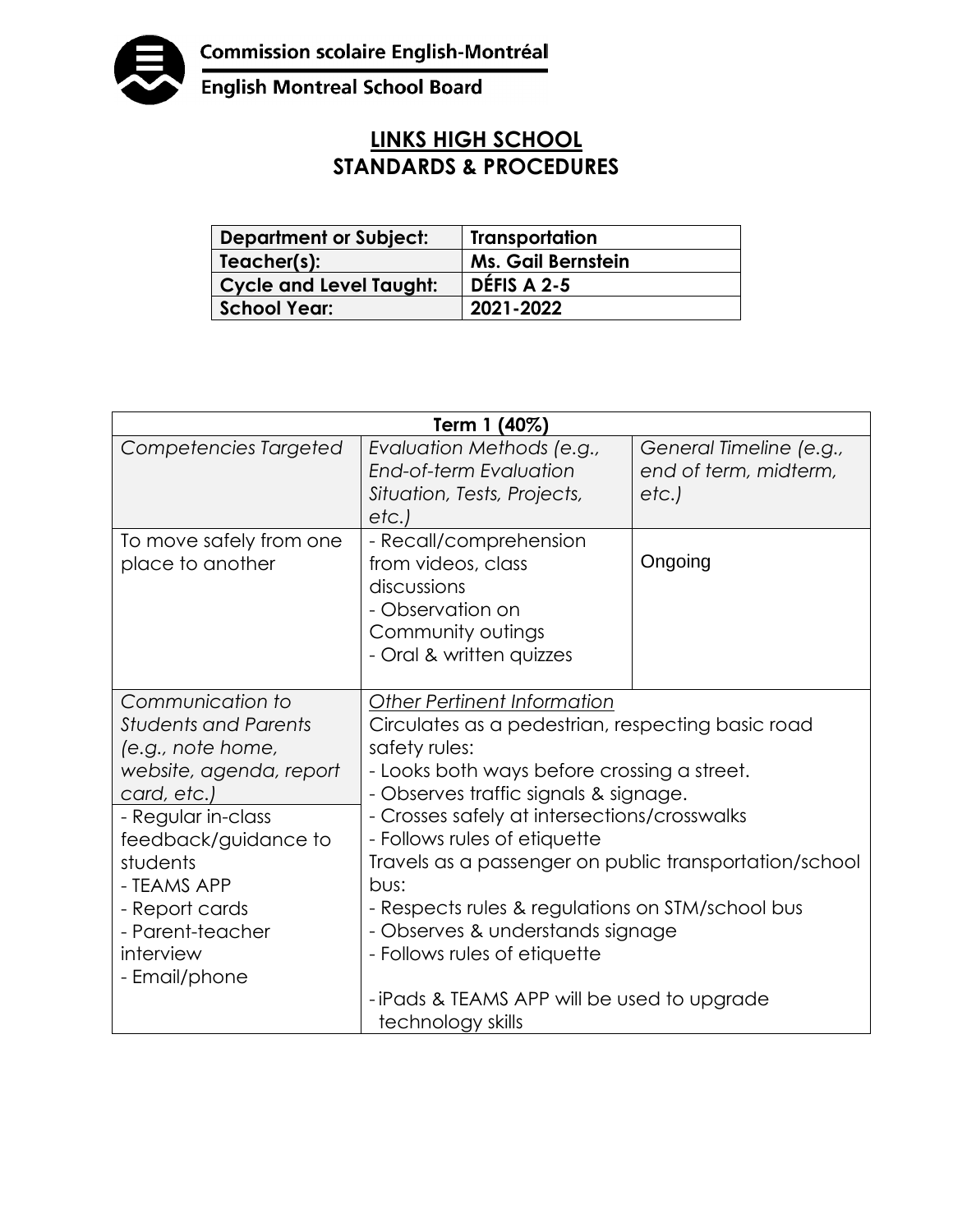

English Montreal School Board

## **LINKS HIGH SCHOOL STANDARDS & PROCEDURES**

| <b>Department or Subject:</b> | Transportation            |
|-------------------------------|---------------------------|
| Teacher(s):                   | <b>Ms. Gail Bernstein</b> |
| Cycle and Level Taught:       | DÉFIS A 2-5               |
| <b>School Year:</b>           | 2021-2022                 |

| Term 1 (40%)                                                                                                                                                                                                                                                |                                                                                                                                                                                                                                                                                                                                                                                                                                                                                                                   |                                                          |  |
|-------------------------------------------------------------------------------------------------------------------------------------------------------------------------------------------------------------------------------------------------------------|-------------------------------------------------------------------------------------------------------------------------------------------------------------------------------------------------------------------------------------------------------------------------------------------------------------------------------------------------------------------------------------------------------------------------------------------------------------------------------------------------------------------|----------------------------------------------------------|--|
| Competencies Targeted                                                                                                                                                                                                                                       | Evaluation Methods (e.g.,<br><b>End-of-term Evaluation</b><br>Situation, Tests, Projects,<br>etc.)                                                                                                                                                                                                                                                                                                                                                                                                                | General Timeline (e.g.,<br>end of term, midterm,<br>etc. |  |
| To move safely from one<br>place to another                                                                                                                                                                                                                 | - Recall/comprehension<br>from videos, class<br>discussions<br>- Observation on<br>Community outings<br>- Oral & written quizzes                                                                                                                                                                                                                                                                                                                                                                                  | Ongoing                                                  |  |
| Communication to<br><b>Students and Parents</b><br>(e.g., note home,<br>website, agenda, report<br>card, etc.)<br>- Regular in-class<br>feedback/guidance to<br>students<br>- TEAMS APP<br>- Report cards<br>- Parent-teacher<br>interview<br>- Email/phone | Other Pertinent Information<br>Circulates as a pedestrian, respecting basic road<br>safety rules:<br>- Looks both ways before crossing a street.<br>- Observes traffic signals & signage.<br>- Crosses safely at intersections/crosswalks<br>- Follows rules of etiquette<br>Travels as a passenger on public transportation/school<br>bus:<br>- Respects rules & regulations on STM/school bus<br>- Observes & understands signage<br>- Follows rules of etiquette<br>-iPads & TEAMS APP will be used to upgrade |                                                          |  |
|                                                                                                                                                                                                                                                             | technology skills                                                                                                                                                                                                                                                                                                                                                                                                                                                                                                 |                                                          |  |